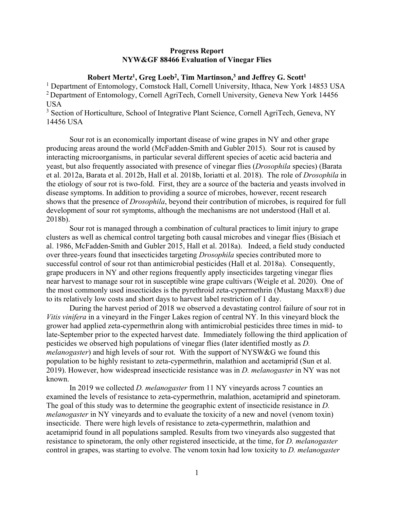# **Progress Report NYW&GF 88466 Evaluation of Vinegar Flies**

# **Robert Mertz1, Greg Loeb2, Tim Martinson,3 and Jeffrey G. Scott1**

<sup>1</sup> Department of Entomology, Comstock Hall, Cornell University, Ithaca, New York 14853 USA <sup>2</sup> Department of Entomology, Cornell AgriTech, Cornell University, Geneva New York 14456 USA

<sup>3</sup> Section of Horticulture, School of Integrative Plant Science, Cornell AgriTech, Geneva, NY 14456 USA

Sour rot is an economically important disease of wine grapes in NY and other grape producing areas around the world (McFadden-Smith and Gubler 2015). Sour rot is caused by interacting microorganisms, in particular several different species of acetic acid bacteria and yeast, but also frequently associated with presence of vinegar flies (*Drosophila* species) (Barata et al. 2012a, Barata et al. 2012b, Hall et al. 2018b, Ioriatti et al. 2018). The role of *Drosophila* in the etiology of sour rot is two-fold. First, they are a source of the bacteria and yeasts involved in disease symptoms. In addition to providing a source of microbes, however, recent research shows that the presence of *Drosophila*, beyond their contribution of microbes, is required for full development of sour rot symptoms, although the mechanisms are not understood (Hall et al. 2018b).

Sour rot is managed through a combination of cultural practices to limit injury to grape clusters as well as chemical control targeting both causal microbes and vinegar flies (Bisiach et al. 1986, McFadden-Smith and Gubler 2015, Hall et al. 2018a). Indeed, a field study conducted over three-years found that insecticides targeting *Drosophila* species contributed more to successful control of sour rot than antimicrobial pesticides (Hall et al. 2018a). Consequently, grape producers in NY and other regions frequently apply insecticides targeting vinegar flies near harvest to manage sour rot in susceptible wine grape cultivars (Weigle et al. 2020). One of the most commonly used insecticides is the pyrethroid zeta-cypermethrin (Mustang Maxx®) due to its relatively low costs and short days to harvest label restriction of 1 day.

During the harvest period of 2018 we observed a devastating control failure of sour rot in *Vitis vinifera* in a vineyard in the Finger Lakes region of central NY. In this vineyard block the grower had applied zeta-cypermethrin along with antimicrobial pesticides three times in mid- to late-September prior to the expected harvest date. Immediately following the third application of pesticides we observed high populations of vinegar flies (later identified mostly as *D. melanogaster*) and high levels of sour rot. With the support of NYSW&G we found this population to be highly resistant to zeta-cypermethrin, malathion and acetamiprid (Sun et al. 2019). However, how widespread insecticide resistance was in *D. melanogaster* in NY was not known.

In 2019 we collected *D. melanogaster* from 11 NY vineyards across 7 counties an examined the levels of resistance to zeta-cypermethrin, malathion, acetamiprid and spinetoram. The goal of this study was to determine the geographic extent of insecticide resistance in *D. melanogaster* in NY vineyards and to evaluate the toxicity of a new and novel (venom toxin) insecticide. There were high levels of resistance to zeta-cypermethrin, malathion and acetamiprid found in all populations sampled. Results from two vineyards also suggested that resistance to spinetoram, the only other registered insecticide, at the time, for *D. melanogaster* control in grapes, was starting to evolve. The venom toxin had low toxicity to *D. melanogaster*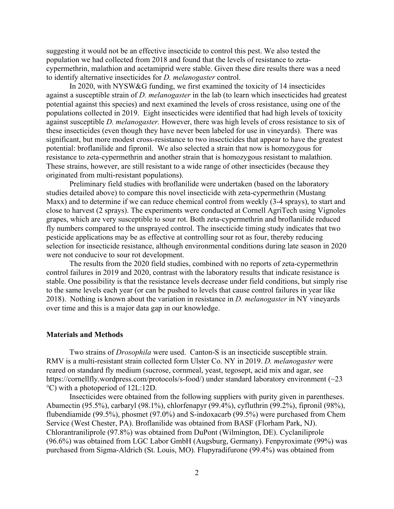suggesting it would not be an effective insecticide to control this pest. We also tested the population we had collected from 2018 and found that the levels of resistance to zetacypermethrin, malathion and acetamiprid were stable. Given these dire results there was a need to identify alternative insecticides for *D. melanogaster* control.

In 2020, with NYSW&G funding, we first examined the toxicity of 14 insecticides against a susceptible strain of *D. melanogaster* in the lab (to learn which insecticides had greatest potential against this species) and next examined the levels of cross resistance, using one of the populations collected in 2019. Eight insecticides were identified that had high levels of toxicity against susceptible *D. melanogaster.* However, there was high levels of cross resistance to six of these insecticides (even though they have never been labeled for use in vineyards). There was significant, but more modest cross-resistance to two insecticides that appear to have the greatest potential: broflanilide and fipronil. We also selected a strain that now is homozygous for resistance to zeta-cypermethrin and another strain that is homozygous resistant to malathion. These strains, however, are still resistant to a wide range of other insecticides (because they originated from multi-resistant populations).

Preliminary field studies with broflanilide were undertaken (based on the laboratory studies detailed above) to compare this novel insecticide with zeta-cypermethrin (Mustang Maxx) and to determine if we can reduce chemical control from weekly (3-4 sprays), to start and close to harvest (2 sprays). The experiments were conducted at Cornell AgriTech using Vignoles grapes, which are very susceptible to sour rot. Both zeta-cypermethrin and broflanilide reduced fly numbers compared to the unsprayed control. The insecticide timing study indicates that two pesticide applications may be as effective at controlling sour rot as four, thereby reducing selection for insecticide resistance, although environmental conditions during late season in 2020 were not conducive to sour rot development.

The results from the 2020 field studies, combined with no reports of zeta-cypermethrin control failures in 2019 and 2020, contrast with the laboratory results that indicate resistance is stable. One possibility is that the resistance levels decrease under field conditions, but simply rise to the same levels each year (or can be pushed to levels that cause control failures in year like 2018). Nothing is known about the variation in resistance in *D. melanogaster* in NY vineyards over time and this is a major data gap in our knowledge.

#### **Materials and Methods**

Two strains of *Drosophila* were used. Canton-S is an insecticide susceptible strain. RMV is a multi-resistant strain collected form Ulster Co. NY in 2019. *D. melanogaster* were reared on standard fly medium (sucrose, cornmeal, yeast, tegosept, acid mix and agar, see https://cornellfly.wordpress.com/protocols/s-food/) under standard laboratory environment (~23 ℃) with a photoperiod of 12L:12D.

Insecticides were obtained from the following suppliers with purity given in parentheses. Abamectin (95.5%), carbaryl (98.1%), chlorfenapyr (99.4%), cyfluthrin (99.2%), fipronil (98%), flubendiamide (99.5%), phosmet (97.0%) and S-indoxacarb (99.5%) were purchased from Chem Service (West Chester, PA). Broflanilide was obtained from BASF (Florham Park, NJ). Chlorantraniliprole (97.8%) was obtained from DuPont (Wilmington, DE). Cyclaniliprole (96.6%) was obtained from LGC Labor GmbH (Augsburg, Germany). Fenpyroximate (99%) was purchased from Sigma-Aldrich (St. Louis, MO). Flupyradifurone (99.4%) was obtained from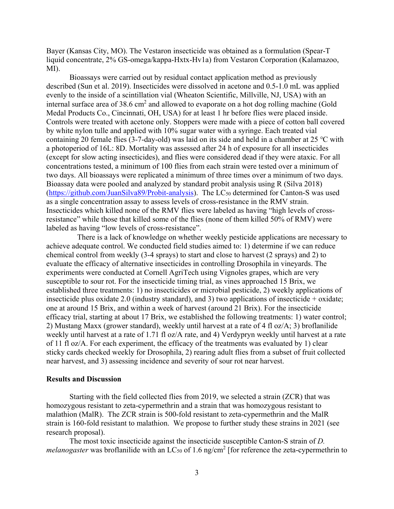Bayer (Kansas City, MO). The Vestaron insecticide was obtained as a formulation (Spear-T liquid concentrate, 2% GS-omega/kappa-Hxtx-Hv1a) from Vestaron Corporation (Kalamazoo, MI).

Bioassays were carried out by residual contact application method as previously described (Sun et al. 2019). Insecticides were dissolved in acetone and 0.5-1.0 mL was applied evenly to the inside of a scintillation vial (Wheaton Scientific, Millville, NJ, USA) with an internal surface area of 38.6 cm<sup>2</sup> and allowed to evaporate on a hot dog rolling machine (Gold Medal Products Co., Cincinnati, OH, USA) for at least 1 hr before flies were placed inside. Controls were treated with acetone only. Stoppers were made with a piece of cotton ball covered by white nylon tulle and applied with 10% sugar water with a syringe. Each treated vial containing 20 female flies (3-7-day-old) was laid on its side and held in a chamber at 25 ℃ with a photoperiod of 16L: 8D. Mortality was assessed after 24 h of exposure for all insecticides (except for slow acting insecticides), and flies were considered dead if they were ataxic. For all concentrations tested, a minimum of 100 flies from each strain were tested over a minimum of two days. All bioassays were replicated a minimum of three times over a minimum of two days. Bioassay data were pooled and analyzed by standard probit analysis using R (Silva 2018) (https://github.com/JuanSilva89/Probit-analysis). The LC<sub>50</sub> determined for Canton-S was used as a single concentration assay to assess levels of cross-resistance in the RMV strain. Insecticides which killed none of the RMV flies were labeled as having "high levels of crossresistance" while those that killed some of the flies (none of them killed 50% of RMV) were labeled as having "low levels of cross-resistance".

 There is a lack of knowledge on whether weekly pesticide applications are necessary to achieve adequate control. We conducted field studies aimed to: 1) determine if we can reduce chemical control from weekly (3-4 sprays) to start and close to harvest (2 sprays) and 2) to evaluate the efficacy of alternative insecticides in controlling Drosophila in vineyards. The experiments were conducted at Cornell AgriTech using Vignoles grapes, which are very susceptible to sour rot. For the insecticide timing trial, as vines approached 15 Brix, we established three treatments: 1) no insecticides or microbial pesticide, 2) weekly applications of insecticide plus oxidate 2.0 (industry standard), and 3) two applications of insecticide + oxidate; one at around 15 Brix, and within a week of harvest (around 21 Brix). For the insecticide efficacy trial, starting at about 17 Brix, we established the following treatments: 1) water control; 2) Mustang Maxx (grower standard), weekly until harvest at a rate of 4 fl oz/A; 3) broflanilide weekly until harvest at a rate of 1.71 fl oz/A rate, and 4) Verdypryn weekly until harvest at a rate of 11 fl oz/A. For each experiment, the efficacy of the treatments was evaluated by 1) clear sticky cards checked weekly for Drosophila, 2) rearing adult flies from a subset of fruit collected near harvest, and 3) assessing incidence and severity of sour rot near harvest.

### **Results and Discussion**

Starting with the field collected flies from 2019, we selected a strain (ZCR) that was homozygous resistant to zeta-cypermethrin and a strain that was homozygous resistant to malathion (MalR). The ZCR strain is 500-fold resistant to zeta-cypermethrin and the MalR strain is 160-fold resistant to malathion. We propose to further study these strains in 2021 (see research proposal).

The most toxic insecticide against the insecticide susceptible Canton-S strain of *D. melanogaster* was broflanilide with an  $LC_{50}$  of 1.6 ng/cm<sup>2</sup> [for reference the zeta-cypermethrin to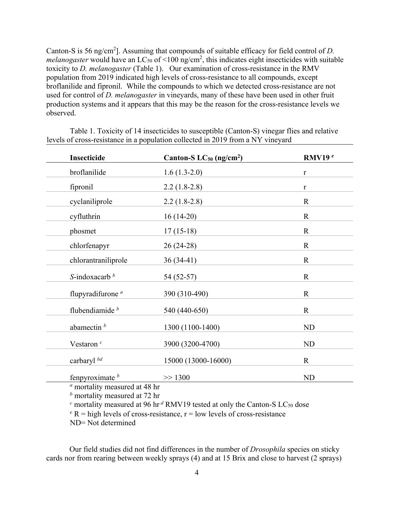Canton-S is 56 ng/cm<sup>2</sup>]. Assuming that compounds of suitable efficacy for field control of *D*. *melanogaster* would have an LC<sub>50</sub> of <100 ng/cm<sup>2</sup>, this indicates eight insecticides with suitable toxicity to *D. melanogaster* (Table 1). Our examination of cross-resistance in the RMV population from 2019 indicated high levels of cross-resistance to all compounds, except broflanilide and fipronil. While the compounds to which we detected cross-resistance are not used for control of *D. melanogaster* in vineyards, many of these have been used in other fruit production systems and it appears that this may be the reason for the cross-resistance levels we observed.

| Insecticide                  | Canton-S $LC_{50}$ (ng/cm <sup>2</sup> ) | RMV19 $e$    |
|------------------------------|------------------------------------------|--------------|
| broflanilide                 | $1.6(1.3-2.0)$                           | r            |
| fipronil                     | $2.2(1.8-2.8)$                           | $\mathbf r$  |
| cyclaniliprole               | $2.2(1.8-2.8)$                           | $\mathbf R$  |
| cyfluthrin                   | $16(14-20)$                              | $\mathbf R$  |
| phosmet                      | $17(15-18)$                              | $\mathbf R$  |
| chlorfenapyr                 | $26(24-28)$                              | $\mathbf{R}$ |
| chlorantraniliprole          | $36(34-41)$                              | $\mathbf R$  |
| S-indoxacarb $b$             | 54 (52-57)                               | $\mathbf R$  |
| flupyradifurone <sup>a</sup> | 390 (310-490)                            | $\mathbf R$  |
| flubendiamide <sup>b</sup>   | 540 (440-650)                            | $\mathbf R$  |
| abamectin <sup>b</sup>       | 1300 (1100-1400)                         | ND           |
| Vestaron $c$                 | 3900 (3200-4700)                         | ND           |
| carbaryl $^{bd}$             | 15000 (13000-16000)                      | $\mathbf R$  |
| fenpyroximate $b$            | >> 1300                                  | <b>ND</b>    |

Table 1. Toxicity of 14 insecticides to susceptible (Canton-S) vinegar flies and relative levels of cross-resistance in a population collected in 2019 from a NY vineyard

*<sup>a</sup>* mortality measured at 48 hr

*<sup>b</sup>* mortality measured at 72 hr

 $c$  mortality measured at 96 hr<sup>d</sup> RMV19 tested at only the Canton-S LC<sub>50</sub> dose

 $e \text{ R}$  = high levels of cross-resistance,  $r =$  low levels of cross-resistance

ND= Not determined

Our field studies did not find differences in the number of *Drosophila* species on sticky cards nor from rearing between weekly sprays (4) and at 15 Brix and close to harvest (2 sprays)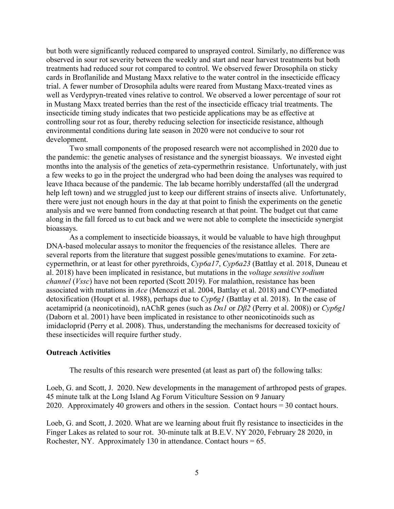but both were significantly reduced compared to unsprayed control. Similarly, no difference was observed in sour rot severity between the weekly and start and near harvest treatments but both treatments had reduced sour rot compared to control. We observed fewer Drosophila on sticky cards in Broflanilide and Mustang Maxx relative to the water control in the insecticide efficacy trial. A fewer number of Drosophila adults were reared from Mustang Maxx-treated vines as well as Verdypryn-treated vines relative to control. We observed a lower percentage of sour rot in Mustang Maxx treated berries than the rest of the insecticide efficacy trial treatments. The insecticide timing study indicates that two pesticide applications may be as effective at controlling sour rot as four, thereby reducing selection for insecticide resistance, although environmental conditions during late season in 2020 were not conducive to sour rot development.

Two small components of the proposed research were not accomplished in 2020 due to the pandemic: the genetic analyses of resistance and the synergist bioassays. We invested eight months into the analysis of the genetics of zeta-cypermethrin resistance. Unfortunately, with just a few weeks to go in the project the undergrad who had been doing the analyses was required to leave Ithaca because of the pandemic. The lab became horribly understaffed (all the undergrad help left town) and we struggled just to keep our different strains of insects alive. Unfortunately, there were just not enough hours in the day at that point to finish the experiments on the genetic analysis and we were banned from conducting research at that point. The budget cut that came along in the fall forced us to cut back and we were not able to complete the insecticide synergist bioassays.

As a complement to insecticide bioassays, it would be valuable to have high throughput DNA-based molecular assays to monitor the frequencies of the resistance alleles. There are several reports from the literature that suggest possible genes/mutations to examine. For zetacypermethrin, or at least for other pyrethroids, *Cyp6a17*, *Cyp6a23* (Battlay et al. 2018, Duneau et al. 2018) have been implicated in resistance, but mutations in the *voltage sensitive sodium channel* (*Vssc*) have not been reported (Scott 2019). For malathion, resistance has been associated with mutations in *Ace* (Menozzi et al. 2004, Battlay et al. 2018) and CYP-mediated detoxification (Houpt et al. 1988), perhaps due to *Cyp6g1* (Battlay et al. 2018). In the case of acetamiprid (a neonicotinoid), nAChR genes (such as *Dα1* or *Dβ2* (Perry et al. 2008)) or *Cyp6g1* (Daborn et al. 2001) have been implicated in resistance to other neonicotinoids such as imidacloprid (Perry et al. 2008). Thus, understanding the mechanisms for decreased toxicity of these insecticides will require further study.

#### **Outreach Activities**

The results of this research were presented (at least as part of) the following talks:

Loeb, G. and Scott, J. 2020. New developments in the management of arthropod pests of grapes. 45 minute talk at the Long Island Ag Forum Viticulture Session on 9 January 2020. Approximately 40 growers and others in the session. Contact hours = 30 contact hours.

Loeb, G. and Scott, J. 2020. What are we learning about fruit fly resistance to insecticides in the Finger Lakes as related to sour rot. 30-minute talk at B.E.V. NY 2020, February 28 2020, in Rochester, NY. Approximately 130 in attendance. Contact hours  $= 65$ .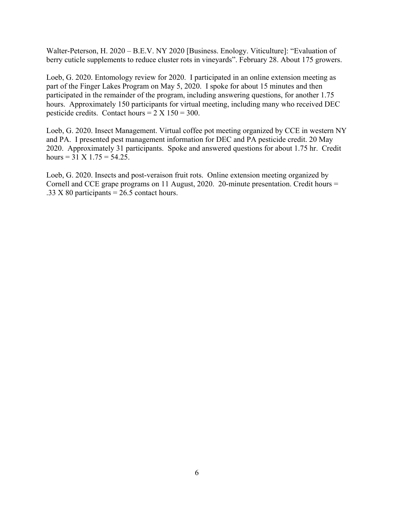Walter-Peterson, H. 2020 – B.E.V. NY 2020 [Business. Enology. Viticulture]: "Evaluation of berry cuticle supplements to reduce cluster rots in vineyards". February 28. About 175 growers.

Loeb, G. 2020. Entomology review for 2020. I participated in an online extension meeting as part of the Finger Lakes Program on May 5, 2020. I spoke for about 15 minutes and then participated in the remainder of the program, including answering questions, for another 1.75 hours. Approximately 150 participants for virtual meeting, including many who received DEC pesticide credits. Contact hours  $= 2 \times 150 = 300$ .

Loeb, G. 2020. Insect Management. Virtual coffee pot meeting organized by CCE in western NY and PA. I presented pest management information for DEC and PA pesticide credit. 20 May 2020. Approximately 31 participants. Spoke and answered questions for about 1.75 hr. Credit hours =  $31 \text{ X } 1.75 = 54.25$ .

Loeb, G. 2020. Insects and post-veraison fruit rots. Online extension meeting organized by Cornell and CCE grape programs on 11 August, 2020. 20-minute presentation. Credit hours = .33 X 80 participants =  $26.5$  contact hours.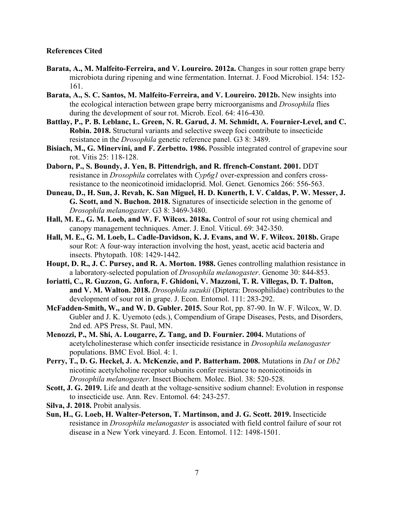# **References Cited**

- **Barata, A., M. Malfeito-Ferreira, and V. Loureiro. 2012a.** Changes in sour rotten grape berry microbiota during ripening and wine fermentation. Internat. J. Food Microbiol. 154: 152- 161.
- **Barata, A., S. C. Santos, M. Malfeito-Ferreira, and V. Loureiro. 2012b.** New insights into the ecological interaction between grape berry microorganisms and *Drosophila* flies during the development of sour rot. Microb. Ecol. 64: 416-430.
- **Battlay, P., P. B. Leblanc, L. Green, N. R. Garud, J. M. Schmidt, A. Fournier-Level, and C. Robin. 2018.** Structural variants and selective sweep foci contribute to insecticide resistance in the *Drosophila* genetic reference panel. G3 8: 3489.
- **Bisiach, M., G. Minervini, and F. Zerbetto. 1986.** Possible integrated control of grapevine sour rot. Vitis 25: 118-128.
- **Daborn, P., S. Boundy, J. Yen, B. Pittendrigh, and R. ffrench-Constant. 2001.** DDT resistance in *Drosophila* correlates with *Cyp6g1* over-expression and confers crossresistance to the neonicotinoid imidacloprid. Mol. Genet. Genomics 266: 556-563.
- **Duneau, D., H. Sun, J. Revah, K. San Miguel, H. D. Kunerth, I. V. Caldas, P. W. Messer, J. G. Scott, and N. Buchon. 2018.** Signatures of insecticide selection in the genome of *Drosophila melanogaster*. G3 8: 3469-3480.
- **Hall, M. E., G. M. Loeb, and W. F. Wilcox. 2018a.** Control of sour rot using chemical and canopy management techniques. Amer. J. Enol. Viticul. 69: 342-350.
- **Hall, M. E., G. M. Loeb, L. Cadle-Davidson, K. J. Evans, and W. F. Wilcox. 2018b.** Grape sour Rot: A four-way interaction involving the host, yeast, acetic acid bacteria and insects. Phytopath. 108: 1429-1442.
- **Houpt, D. R., J. C. Pursey, and R. A. Morton. 1988.** Genes controlling malathion resistance in a laboratory-selected population of *Drosophila melanogaster*. Genome 30: 844-853.
- **Ioriatti, C., R. Guzzon, G. Anfora, F. Ghidoni, V. Mazzoni, T. R. Villegas, D. T. Dalton, and V. M. Walton. 2018.** *Drosophila suzukii* (Diptera: Drosophilidae) contributes to the development of sour rot in grape. J. Econ. Entomol. 111: 283-292.
- **McFadden-Smith, W., and W. D. Gubler. 2015.** Sour Rot, pp. 87-90. In W. F. Wilcox, W. D. Gubler and J. K. Uyemoto (eds.), Compendium of Grape Diseases, Pests, and Disorders, 2nd ed. APS Press, St. Paul, MN.
- **Menozzi, P., M. Shi, A. Lougarre, Z. Tang, and D. Fournier. 2004.** Mutations of acetylcholinesterase which confer insecticide resistance in *Drosophila melanogaster*  populations. BMC Evol. Biol. 4: 1.
- **Perry, T., D. G. Heckel, J. A. McKenzie, and P. Batterham. 2008.** Mutations in *Da1* or *Db2* nicotinic acetylcholine receptor subunits confer resistance to neonicotinoids in *Drosophila melanogaster*. Insect Biochem. Molec. Biol. 38: 520-528.
- **Scott, J. G. 2019.** Life and death at the voltage-sensitive sodium channel: Evolution in response to insecticide use. Ann. Rev. Entomol. 64: 243-257.
- **Silva, J. 2018.** Probit analysis.
- **Sun, H., G. Loeb, H. Walter-Peterson, T. Martinson, and J. G. Scott. 2019.** Insecticide resistance in *Drosophila melanogaster* is associated with field control failure of sour rot disease in a New York vineyard. J. Econ. Entomol. 112: 1498-1501.